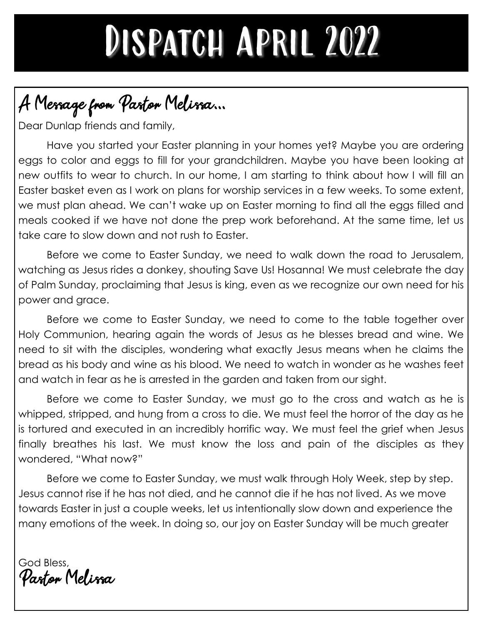## DISPATCH APRIL 2022

### A Message from Pastor Melissa...

Dear Dunlap friends and family,

Have you started your Easter planning in your homes yet? Maybe you are ordering eggs to color and eggs to fill for your grandchildren. Maybe you have been looking at new outfits to wear to church. In our home, I am starting to think about how I will fill an Easter basket even as I work on plans for worship services in a few weeks. To some extent, we must plan ahead. We can't wake up on Easter morning to find all the eggs filled and meals cooked if we have not done the prep work beforehand. At the same time, let us take care to slow down and not rush to Easter.

Before we come to Easter Sunday, we need to walk down the road to Jerusalem, watching as Jesus rides a donkey, shouting Save Us! Hosanna! We must celebrate the day of Palm Sunday, proclaiming that Jesus is king, even as we recognize our own need for his power and grace.

Before we come to Easter Sunday, we need to come to the table together over Holy Communion, hearing again the words of Jesus as he blesses bread and wine. We need to sit with the disciples, wondering what exactly Jesus means when he claims the bread as his body and wine as his blood. We need to watch in wonder as he washes feet and watch in fear as he is arrested in the garden and taken from our sight.

Before we come to Easter Sunday, we must go to the cross and watch as he is whipped, stripped, and hung from a cross to die. We must feel the horror of the day as he is tortured and executed in an incredibly horrific way. We must feel the grief when Jesus finally breathes his last. We must know the loss and pain of the disciples as they wondered, "What now?"

Before we come to Easter Sunday, we must walk through Holy Week, step by step. Jesus cannot rise if he has not died, and he cannot die if he has not lived. As we move towards Easter in just a couple weeks, let us intentionally slow down and experience the many emotions of the week. In doing so, our joy on Easter Sunday will be much greater

God Bless, Pastor Melissa.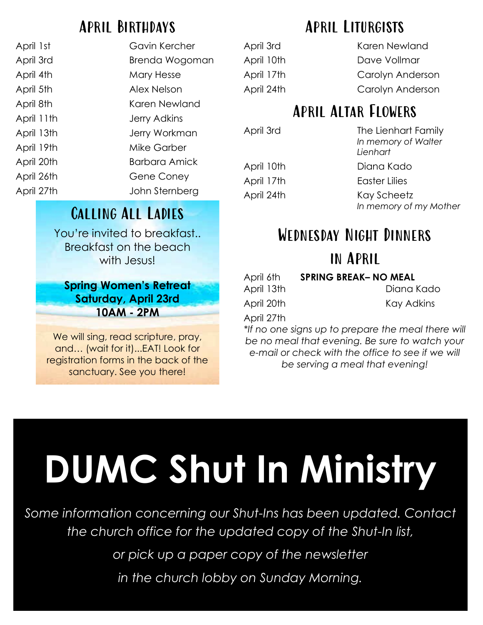### April Birthdays

| April 1st  | Gavin Kercher  |
|------------|----------------|
| April 3rd  | Brenda Wogoman |
| April 4th  | Mary Hesse     |
| April 5th  | Alex Nelson    |
| April 8th  | Karen Newland  |
| April 11th | Jerry Adkins   |
| April 13th | Jerry Workman  |
| April 19th | Mike Garber    |
| April 20th | Barbara Amick  |
| April 26th | Gene Coney     |
| April 27th | John Sternberg |

### Calling All Ladies

You're invited to breakfast.. Breakfast on the beach with **Jesus!** 

**Spring Women's Retreat Saturday, April 23rd 10AM - 2PM** 

We will sing, read scripture, pray, and… (wait for it)...EAT! Look for registration forms in the back of the sanctuary. See you there!

### April Liturgists

April 3rd Karen Newland April 10th Dave Vollmar April 17th Carolyn Anderson April 24th Carolyn Anderson

### April Altar Flowers

April 3rd **The Lienhart Family** *In memory of Walter Lienhart*

April 10th Diana Kado

April 17th Easter Lilies

April 24th Kay Scheetz *In memory of my Mother*

## Wednesday Night Dinners

### in April

| April 6th  | <b>SPRING BREAK- NO MEAL</b> |
|------------|------------------------------|
| April 13th | Diana Kado                   |
| April 20th | Kay Adkins                   |

April 27th

*\*If no one signs up to prepare the meal there will be no meal that evening. Be sure to watch your e-mail or check with the office to see if we will be serving a meal that evening!*

# **DUMC Shut In Ministry**

*Some information concerning our Shut-Ins has been updated. Contact the church office for the updated copy of the Shut-In list,*

*or pick up a paper copy of the newsletter*

*in the church lobby on Sunday Morning.*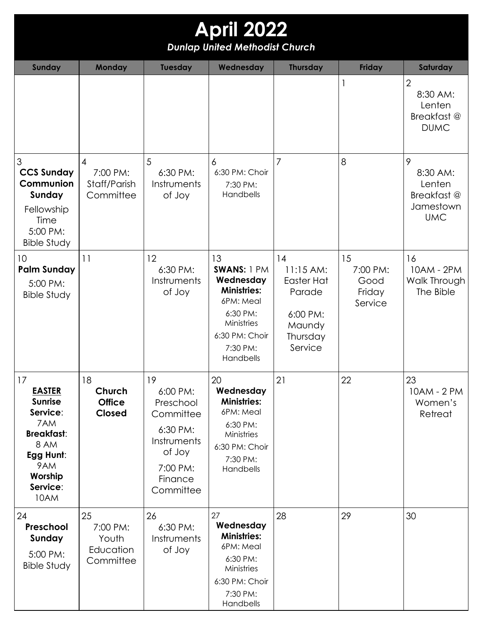| <b>April 2022</b><br><b>Dunlap United Methodist Church</b>                                                                               |                                                   |                                                                                                                   |                                                                                                                                        |                                                                                        |                                             |                                                                   |  |  |  |
|------------------------------------------------------------------------------------------------------------------------------------------|---------------------------------------------------|-------------------------------------------------------------------------------------------------------------------|----------------------------------------------------------------------------------------------------------------------------------------|----------------------------------------------------------------------------------------|---------------------------------------------|-------------------------------------------------------------------|--|--|--|
| <b>Sunday</b>                                                                                                                            | <b>Monday</b>                                     | Tuesday                                                                                                           | Wednesday                                                                                                                              | <b>Thursday</b>                                                                        | <b>Friday</b>                               | Saturday                                                          |  |  |  |
|                                                                                                                                          |                                                   |                                                                                                                   |                                                                                                                                        |                                                                                        |                                             | $\overline{2}$<br>8:30 AM:<br>Lenten<br>Breakfast@<br><b>DUMC</b> |  |  |  |
| 3<br><b>CCS Sunday</b><br>Communion<br>Sunday<br>Fellowship<br>Time<br>5:00 PM:<br><b>Bible Study</b>                                    | 4<br>7:00 PM:<br>Staff/Parish<br>Committee        | 5<br>6:30 PM:<br>Instruments<br>of Joy                                                                            | 6<br>6:30 PM: Choir<br>7:30 PM:<br>Handbells                                                                                           | $\overline{7}$                                                                         | 8                                           | 9<br>8:30 AM:<br>Lenten<br>Breakfast@<br>Jamestown<br><b>UMC</b>  |  |  |  |
| 10<br><b>Palm Sunday</b><br>5:00 PM:<br><b>Bible Study</b>                                                                               | 11                                                | 12<br>6:30 PM:<br>Instruments<br>of Joy                                                                           | 13<br>SWANS: 1 PM<br>Wednesday<br><b>Ministries:</b><br>6PM: Meal<br>6:30 PM:<br>Ministries<br>6:30 PM: Choir<br>7:30 PM:<br>Handbells | 14<br>$11:15$ AM:<br>Easter Hat<br>Parade<br>6:00 PM:<br>Maundy<br>Thursday<br>Service | 15<br>7:00 PM:<br>Good<br>Friday<br>Service | 16<br>10AM - 2PM<br>Walk Through<br>The Bible                     |  |  |  |
| 17<br><b>EASTER</b><br><b>Sunrise</b><br>Service:<br>7AM<br><b>Breakfast:</b><br>8 AM<br>Egg Hunt:<br>9AM<br>Worship<br>Service:<br>10AM | 18<br>Church<br><b>Office</b><br><b>Closed</b>    | 19<br>6:00 PM:<br>Preschool<br>Committee<br>6:30 PM:<br>Instruments<br>of Joy<br>7:00 PM:<br>Finance<br>Committee | 20<br>Wednesday<br><b>Ministries:</b><br>6PM: Meal<br>6:30 PM:<br>Ministries<br>6:30 PM: Choir<br>7:30 PM:<br>Handbells                | 21                                                                                     | 22                                          | 23<br>10AM - 2 PM<br>Women's<br>Retreat                           |  |  |  |
| 24<br>Preschool<br>Sunday<br>5:00 PM:<br><b>Bible Study</b>                                                                              | 25<br>7:00 PM:<br>Youth<br>Education<br>Committee | 26<br>6:30 PM:<br>Instruments<br>of Joy                                                                           | 27<br>Wednesday<br><b>Ministries:</b><br>6PM: Meal<br>6:30 PM:<br>Ministries<br>6:30 PM: Choir<br>7:30 PM:<br>Handbells                | 28                                                                                     | 29                                          | 30                                                                |  |  |  |